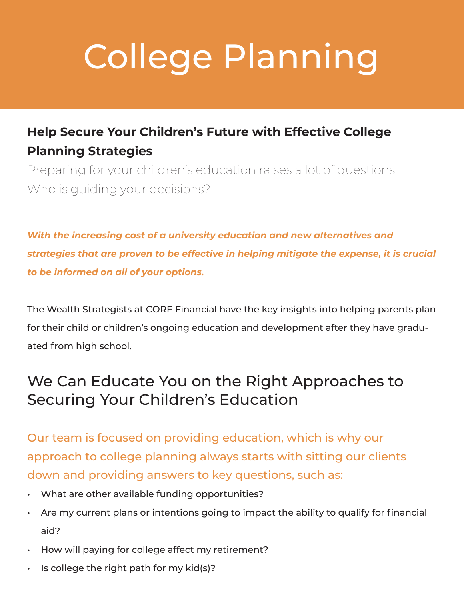# College Planning

#### **Help Secure Your Children's Future with Effective College Planning Strategies**

Preparing for your children's education raises a lot of questions. Who is guiding your decisions?

*With the increasing cost of a university education and new alternatives and strategies that are proven to be effective in helping mitigate the expense, it is crucial to be informed on all of your options.*

The Wealth Strategists at CORE Financial have the key insights into helping parents plan for their child or children's ongoing education and development after they have graduated from high school.

#### We Can Educate You on the Right Approaches to Securing Your Children's Education

Our team is focused on providing education, which is why our approach to college planning always starts with sitting our clients down and providing answers to key questions, such as:

- What are other available funding opportunities?
- Are my current plans or intentions going to impact the ability to qualify for financial aid?
- How will paying for college affect my retirement?
- $\cdot$  Is college the right path for my kid(s)?